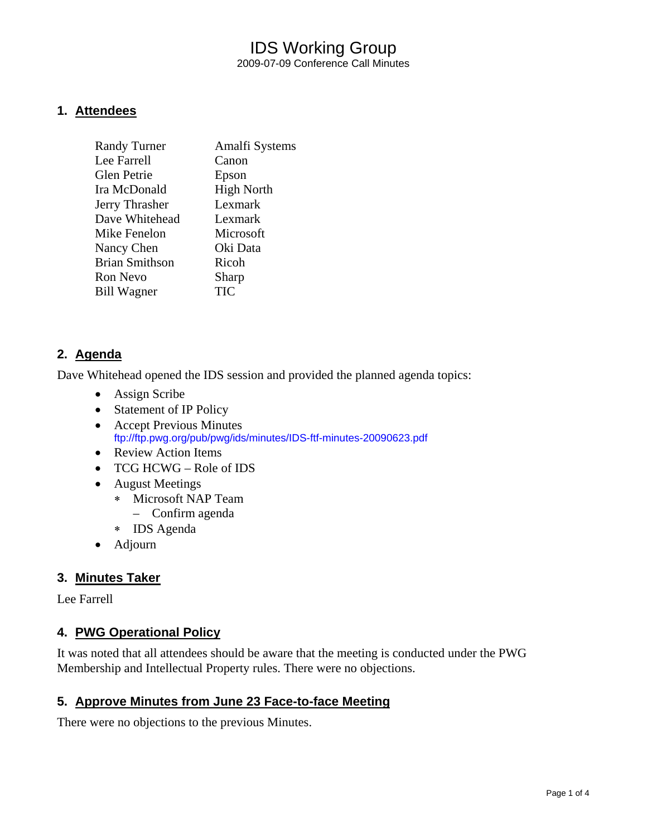## IDS Working Group 2009-07-09 Conference Call Minutes

#### **1. Attendees**

| <b>Randy Turner</b>   | Amalfi Systems    |
|-----------------------|-------------------|
| Lee Farrell           | Canon             |
| <b>Glen Petrie</b>    | Epson             |
| Ira McDonald          | <b>High North</b> |
| Jerry Thrasher        | Lexmark           |
| Dave Whitehead        | Lexmark           |
| Mike Fenelon          | Microsoft         |
| Nancy Chen            | Oki Data          |
| <b>Brian Smithson</b> | Ricoh             |
| <b>Ron Nevo</b>       | Sharp             |
| <b>Bill Wagner</b>    | TIC               |

## **2. Agenda**

Dave Whitehead opened the IDS session and provided the planned agenda topics:

- Assign Scribe
- Statement of IP Policy
- Accept Previous Minutes <ftp://ftp.pwg.org/pub/pwg/ids/minutes/IDS-ftf-minutes-20090623.pdf>
- Review Action Items
- TCG HCWG Role of IDS
- August Meetings
	- ∗ Microsoft NAP Team
		- Confirm agenda
	- ∗ IDS Agenda
- Adjourn

## **3. Minutes Taker**

Lee Farrell

## **4. PWG Operational Policy**

It was noted that all attendees should be aware that the meeting is conducted under the PWG Membership and Intellectual Property rules. There were no objections.

## **5. Approve Minutes from June 23 Face-to-face Meeting**

There were no objections to the previous Minutes.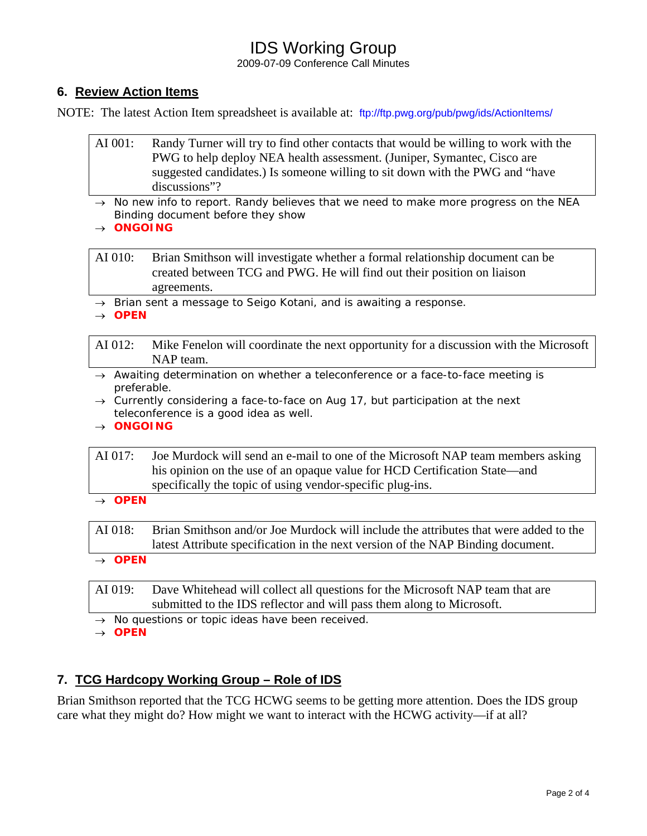## IDS Working Group

2009-07-09 Conference Call Minutes

## **6. Review Action Items**

NOTE: The latest Action Item spreadsheet is available at: <ftp://ftp.pwg.org/pub/pwg/ids/ActionItems/>

- AI 001: Randy Turner will try to find other contacts that would be willing to work with the PWG to help deploy NEA health assessment. (Juniper, Symantec, Cisco are suggested candidates.) Is someone willing to sit down with the PWG and "have discussions"?
- → *No new info to report. Randy believes that we need to make more progress on the NEA Binding document before they show*
- → *ONGOING*

AI 010: Brian Smithson will investigate whether a formal relationship document can be created between TCG and PWG. He will find out their position on liaison agreements.

→ *Brian sent a message to Seigo Kotani, and is awaiting a response.* 

→ *OPEN* 

AI 012: Mike Fenelon will coordinate the next opportunity for a discussion with the Microsoft NAP team.

- → *Awaiting determination on whether a teleconference or a face-to-face meeting is preferable.*
- → *Currently considering a face-to-face on Aug 17, but participation at the next teleconference is a good idea as well.*
- → *ONGOING*

AI 017: Joe Murdock will send an e-mail to one of the Microsoft NAP team members asking his opinion on the use of an opaque value for HCD Certification State—and specifically the topic of using vendor-specific plug-ins.

→ *OPEN* 

AI 018: Brian Smithson and/or Joe Murdock will include the attributes that were added to the latest Attribute specification in the next version of the NAP Binding document.

→ *OPEN* 

AI 019: Dave Whitehead will collect all questions for the Microsoft NAP team that are submitted to the IDS reflector and will pass them along to Microsoft.

→ *No questions or topic ideas have been received.* 

→ *OPEN* 

## **7. TCG Hardcopy Working Group – Role of IDS**

Brian Smithson reported that the TCG HCWG seems to be getting more attention. Does the IDS group care what they might do? How might we want to interact with the HCWG activity—if at all?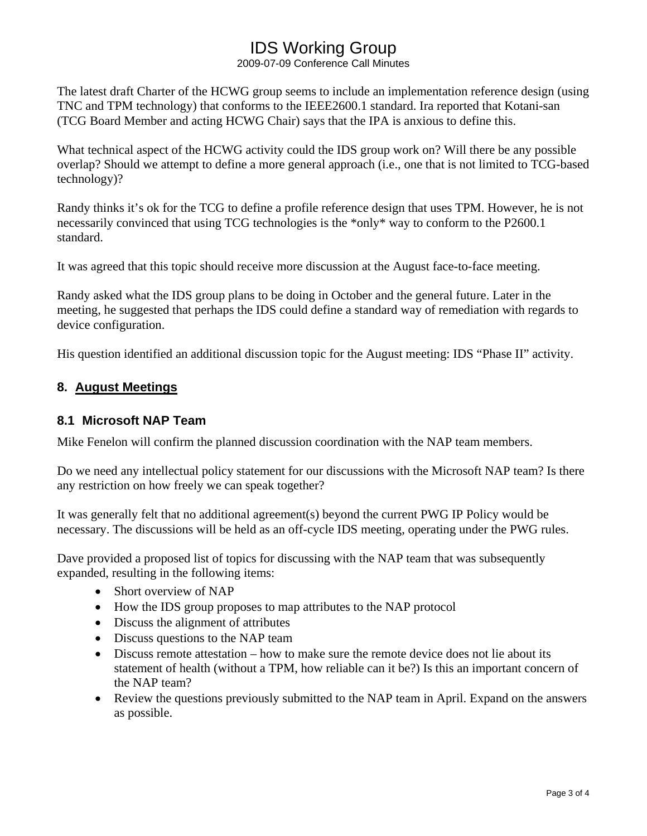# IDS Working Group

2009-07-09 Conference Call Minutes

The latest draft Charter of the HCWG group seems to include an implementation reference design (using TNC and TPM technology) that conforms to the IEEE2600.1 standard. Ira reported that Kotani-san (TCG Board Member and acting HCWG Chair) says that the IPA is anxious to define this.

What technical aspect of the HCWG activity could the IDS group work on? Will there be any possible overlap? Should we attempt to define a more general approach (i.e., one that is not limited to TCG-based technology)?

Randy thinks it's ok for the TCG to define a profile reference design that uses TPM. However, he is not necessarily convinced that using TCG technologies is the \*only\* way to conform to the P2600.1 standard.

It was agreed that this topic should receive more discussion at the August face-to-face meeting.

Randy asked what the IDS group plans to be doing in October and the general future. Later in the meeting, he suggested that perhaps the IDS could define a standard way of remediation with regards to device configuration.

His question identified an additional discussion topic for the August meeting: IDS "Phase II" activity.

## **8. August Meetings**

## **8.1 Microsoft NAP Team**

Mike Fenelon will confirm the planned discussion coordination with the NAP team members.

Do we need any intellectual policy statement for our discussions with the Microsoft NAP team? Is there any restriction on how freely we can speak together?

It was generally felt that no additional agreement(s) beyond the current PWG IP Policy would be necessary. The discussions will be held as an off-cycle IDS meeting, operating under the PWG rules.

Dave provided a proposed list of topics for discussing with the NAP team that was subsequently expanded, resulting in the following items:

- Short overview of NAP
- How the IDS group proposes to map attributes to the NAP protocol
- Discuss the alignment of attributes
- Discuss questions to the NAP team
- Discuss remote attestation how to make sure the remote device does not lie about its statement of health (without a TPM, how reliable can it be?) Is this an important concern of the NAP team?
- Review the questions previously submitted to the NAP team in April. Expand on the answers as possible.